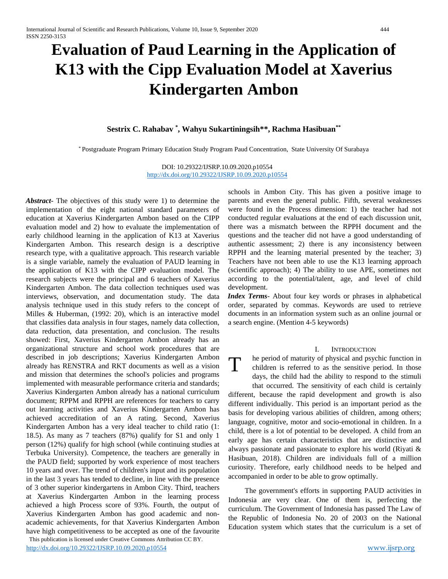# **Evaluation of Paud Learning in the Application of K13 with the Cipp Evaluation Model at Xaverius Kindergarten Ambon**

# **Sestrix C. Rahabav \* , Wahyu Sukartiningsih\*\*, Rachma Hasibuan\*\***

\* Postgraduate Program Primary Education Study Program Paud Concentration, State University Of Surabaya

DOI: 10.29322/IJSRP.10.09.2020.p10554 <http://dx.doi.org/10.29322/IJSRP.10.09.2020.p10554>

 This publication is licensed under Creative Commons Attribution CC BY. *Abstract***-** The objectives of this study were 1) to determine the implementation of the eight national standard parameters of education at Xaverius Kindergarten Ambon based on the CIPP evaluation model and 2) how to evaluate the implementation of early childhood learning in the application of K13 at Xaverius Kindergarten Ambon. This research design is a descriptive research type, with a qualitative approach. This research variable is a single variable, namely the evaluation of PAUD learning in the application of K13 with the CIPP evaluation model. The research subjects were the principal and 6 teachers of Xaverius Kindergarten Ambon. The data collection techniques used was interviews, observation, and documentation study. The data analysis technique used in this study refers to the concept of Milles & Huberman, (1992: 20), which is an interactive model that classifies data analysis in four stages, namely data collection, data reduction, data presentation, and conclusion. The results showed: First, Xaverius Kindergarten Ambon already has an organizational structure and school work procedures that are described in job descriptions; Xaverius Kindergarten Ambon already has RENSTRA and RKT documents as well as a vision and mission that determines the school's policies and programs implemented with measurable performance criteria and standards; Xaverius Kindergarten Ambon already has a national curriculum document; RPPM and RPPH are references for teachers to carry out learning activities and Xaverius Kindergarten Ambon has achieved accreditation of an A rating. Second, Xaverius Kindergarten Ambon has a very ideal teacher to child ratio (1: 18.5). As many as 7 teachers (87%) qualify for S1 and only 1 person (12%) qualify for high school (while continuing studies at Terbuka University). Competence, the teachers are generally in the PAUD field; supported by work experience of most teachers 10 years and over. The trend of children's input and its population in the last 3 years has tended to decline, in line with the presence of 3 other superior kindergartens in Ambon City. Third, teachers at Xaverius Kindergarten Ambon in the learning process achieved a high Process score of 93%. Fourth, the output of Xaverius Kindergarten Ambon has good academic and nonacademic achievements, for that Xaverius Kindergarten Ambon have high competitiveness to be accepted as one of the favourite

schools in Ambon City. This has given a positive image to parents and even the general public. Fifth, several weaknesses were found in the Process dimension: 1) the teacher had not conducted regular evaluations at the end of each discussion unit, there was a mismatch between the RPPH document and the questions and the teacher did not have a good understanding of authentic assessment; 2) there is any inconsistency between RPPH and the learning material presented by the teacher; 3) Teachers have not been able to use the K13 learning approach (scientific approach); 4) The ability to use APE, sometimes not according to the potential/talent, age, and level of child development.

*Index Terms*- About four key words or phrases in alphabetical order, separated by commas. Keywords are used to retrieve documents in an information system such as an online journal or a search engine. (Mention 4-5 keywords)

#### I. INTRODUCTION

he period of maturity of physical and psychic function in

children is referred to as the sensitive period. In those days, the child had the ability to respond to the stimuli that occurred. The sensitivity of each child is certainly different, because the rapid development and growth is also different individually. This period is an important period as the basis for developing various abilities of children, among others; language, cognitive, motor and socio-emotional in children. In a child, there is a lot of potential to be developed. A child from an early age has certain characteristics that are distinctive and always passionate and passionate to explore his world (Riyati & Hasibuan, 2018). Children are individuals full of a million curiosity. Therefore, early childhood needs to be helped and accompanied in order to be able to grow optimally. T

The government's efforts in supporting PAUD activities in Indonesia are very clear. One of them is, perfecting the curriculum. The Government of Indonesia has passed The Law of the Republic of Indonesia No. 20 of 2003 on the National Education system which states that the curriculum is a set of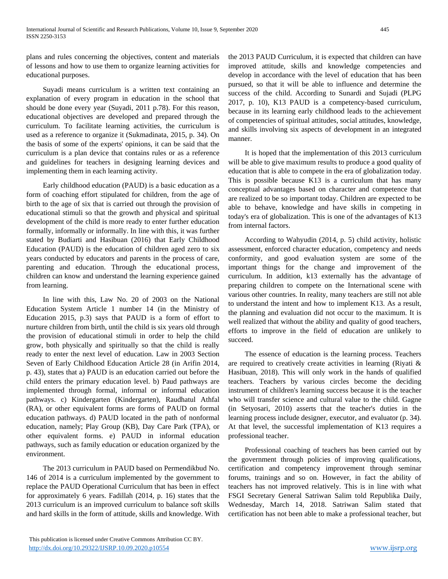plans and rules concerning the objectives, content and materials of lessons and how to use them to organize learning activities for educational purposes.

Suyadi means curriculum is a written text containing an explanation of every program in education in the school that should be done every year (Suyadi, 2011 p.78). For this reason, educational objectives are developed and prepared through the curriculum. To facilitate learning activities, the curriculum is used as a reference to organize it (Sukmadinata, 2015, p. 34). On the basis of some of the experts' opinions, it can be said that the curriculum is a plan device that contains rules or as a reference and guidelines for teachers in designing learning devices and implementing them in each learning activity.

Early childhood education (PAUD) is a basic education as a form of coaching effort stipulated for children, from the age of birth to the age of six that is carried out through the provision of educational stimuli so that the growth and physical and spiritual development of the child is more ready to enter further education formally, informally or informally. In line with this, it was further stated by Budiarti and Hasibuan (2016) that Early Childhood Education (PAUD) is the education of children aged zero to six years conducted by educators and parents in the process of care, parenting and education. Through the educational process, children can know and understand the learning experience gained from learning.

In line with this, Law No. 20 of 2003 on the National Education System Article 1 number 14 (in the Ministry of Education 2015, p.3) says that PAUD is a form of effort to nurture children from birth, until the child is six years old through the provision of educational stimuli in order to help the child grow, both physically and spiritually so that the child is really ready to enter the next level of education. Law in 2003 Section Seven of Early Childhood Education Article 28 (in Arifin 2014, p. 43), states that a) PAUD is an education carried out before the child enters the primary education level. b) Paud pathways are implemented through formal, informal or informal education pathways. c) Kindergarten (Kindergarten), Raudhatul Athfal (RA), or other equivalent forms are forms of PAUD on formal education pathways. d) PAUD located in the path of nonformal education, namely; Play Group (KB), Day Care Park (TPA), or other equivalent forms. e) PAUD in informal education pathways, such as family education or education organized by the environment.

The 2013 curriculum in PAUD based on Permendikbud No. 146 of 2014 is a curriculum implemented by the government to replace the PAUD Operational Curriculum that has been in effect for approximately 6 years. Fadillah (2014, p. 16) states that the 2013 curriculum is an improved curriculum to balance soft skills and hard skills in the form of attitude, skills and knowledge. With the 2013 PAUD Curriculum, it is expected that children can have improved attitude, skills and knowledge competencies and develop in accordance with the level of education that has been pursued, so that it will be able to influence and determine the success of the child. According to Sunardi and Sujadi (PLPG 2017, p. 10), K13 PAUD is a competency-based curriculum, because in its learning early childhood leads to the achievement of competencies of spiritual attitudes, social attitudes, knowledge, and skills involving six aspects of development in an integrated manner.

It is hoped that the implementation of this 2013 curriculum will be able to give maximum results to produce a good quality of education that is able to compete in the era of globalization today. This is possible because K13 is a curriculum that has many conceptual advantages based on character and competence that are realized to be so important today. Children are expected to be able to behave, knowledge and have skills in competing in today's era of globalization. This is one of the advantages of K13 from internal factors.

According to Wahyudin (2014, p. 5) child activity, holistic assessment, enforced character education, competency and needs conformity, and good evaluation system are some of the important things for the change and improvement of the curriculum. In addition, k13 externally has the advantage of preparing children to compete on the International scene with various other countries. In reality, many teachers are still not able to understand the intent and how to implement K13. As a result, the planning and evaluation did not occur to the maximum. It is well realized that without the ability and quality of good teachers, efforts to improve in the field of education are unlikely to succeed.

The essence of education is the learning process. Teachers are required to creatively create activities in learning (Riyati & Hasibuan, 2018). This will only work in the hands of qualified teachers. Teachers by various circles become the deciding instrument of children's learning success because it is the teacher who will transfer science and cultural value to the child. Gagne (in Setyosari, 2010) asserts that the teacher's duties in the learning process include designer, executor, and evaluator (p. 34). At that level, the successful implementation of K13 requires a professional teacher.

Professional coaching of teachers has been carried out by the government through policies of improving qualifications, certification and competency improvement through seminar forums, trainings and so on. However, in fact the ability of teachers has not improved relatively. This is in line with what FSGI Secretary General Satriwan Salim told Republika Daily, Wednesday, March 14, 2018. Satriwan Salim stated that certification has not been able to make a professional teacher, but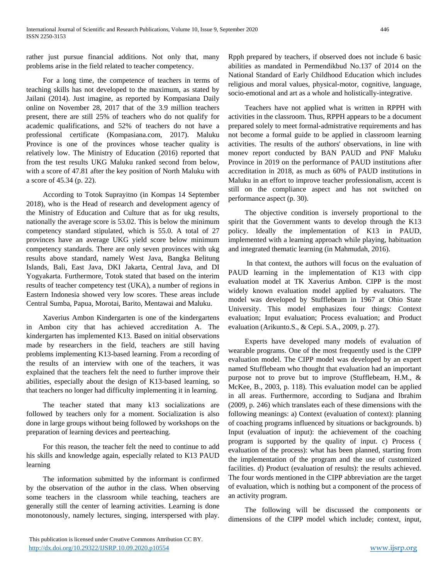rather just pursue financial additions. Not only that, many problems arise in the field related to teacher competency.

For a long time, the competence of teachers in terms of teaching skills has not developed to the maximum, as stated by Jailani (2014). Just imagine, as reported by Kompasiana Daily online on November 28, 2017 that of the 3.9 million teachers present, there are still 25% of teachers who do not qualify for academic qualifications, and 52% of teachers do not have a professional certificate (Kompasiana.com, 2017). Maluku Province is one of the provinces whose teacher quality is relatively low. The Ministry of Education (2016) reported that from the test results UKG Maluku ranked second from below, with a score of 47.81 after the key position of North Maluku with a score of 45.34 (p. 22).

According to Totok Suprayitno (in Kompas 14 September 2018), who is the Head of research and development agency of the Ministry of Education and Culture that as for ukg results, nationally the average score is 53.02. This is below the minimum competency standard stipulated, which is 55.0. A total of 27 provinces have an average UKG yield score below minimum competency standards. There are only seven provinces with ukg results above standard, namely West Java, Bangka Belitung Islands, Bali, East Java, DKI Jakarta, Central Java, and DI Yogyakarta. Furthermore, Totok stated that based on the interim results of teacher competency test (UKA), a number of regions in Eastern Indonesia showed very low scores. These areas include Central Sumba, Papua, Morotai, Barito, Mentawai and Maluku.

Xaverius Ambon Kindergarten is one of the kindergartens in Ambon city that has achieved accreditation A. The kindergarten has implemented K13. Based on initial observations made by researchers in the field, teachers are still having problems implementing K13-based learning. From a recording of the results of an interview with one of the teachers, it was explained that the teachers felt the need to further improve their abilities, especially about the design of K13-based learning, so that teachers no longer had difficulty implementing it in learning.

The teacher stated that many k13 socializations are followed by teachers only for a moment. Socialization is also done in large groups without being followed by workshops on the preparation of learning devices and peerteaching.

For this reason, the teacher felt the need to continue to add his skills and knowledge again, especially related to K13 PAUD learning

The information submitted by the informant is confirmed by the observation of the author in the class. When observing some teachers in the classroom while teaching, teachers are generally still the center of learning activities. Learning is done monotonously, namely lectures, singing, interspersed with play. Rpph prepared by teachers, if observed does not include 6 basic abilities as mandated in Permendikbud No.137 of 2014 on the National Standard of Early Childhood Education which includes religious and moral values, physical-motor, cognitive, language, socio-emotional and art as a whole and holistically-integrative.

Teachers have not applied what is written in RPPH with activities in the classroom. Thus, RPPH appears to be a document prepared solely to meet formal-admistrative requirements and has not become a formal guide to be applied in classroom learning activities. The results of the authors' observations, in line with monev report conducted by BAN PAUD and PNF Maluku Province in 2019 on the performance of PAUD institutions after accreditation in 2018, as much as 60% of PAUD institutions in Maluku in an effort to improve teacher professionalism, accent is still on the compliance aspect and has not switched on performance aspect (p. 30).

The objective condition is inversely proportional to the spirit that the Government wants to develop through the K13 policy. Ideally the implementation of K13 in PAUD, implemented with a learning approach while playing, habituation and integrated thematic learning (in Mahmudah, 2016).

In that context, the authors will focus on the evaluation of PAUD learning in the implementation of K13 with cipp evaluation model at TK Xaverius Ambon. CIPP is the most widely known evaluation model applied by evaluators. The model was developed by Stufflebeam in 1967 at Ohio State University. This model emphasizes four things: Context evaluation; Input evaluation; Process evaluation; and Product evaluation (Arikunto.S., & Cepi. S.A., 2009, p. 27).

Experts have developed many models of evaluation of wearable programs. One of the most frequently used is the CIPP evaluation model. The CIPP model was developed by an expert named Stufflebeam who thought that evaluation had an important purpose not to prove but to improve (Stufflebeam, H.M., & McKee, B., 2003, p. 118). This evaluation model can be applied in all areas. Furthermore, according to Sudjana and Ibrahim (2009, p. 246) which translates each of these dimensions with the following meanings: a) Context (evaluation of context): planning of coaching programs influenced by situations or backgrounds. b) Input (evaluation of input): the achievement of the coaching program is supported by the quality of input. c) Process ( evaluation of the process): what has been planned, starting from the implementation of the program and the use of customized facilities. d) Product (evaluation of results): the results achieved. The four words mentioned in the CIPP abbreviation are the target of evaluation, which is nothing but a component of the process of an activity program.

The following will be discussed the components or dimensions of the CIPP model which include; context, input,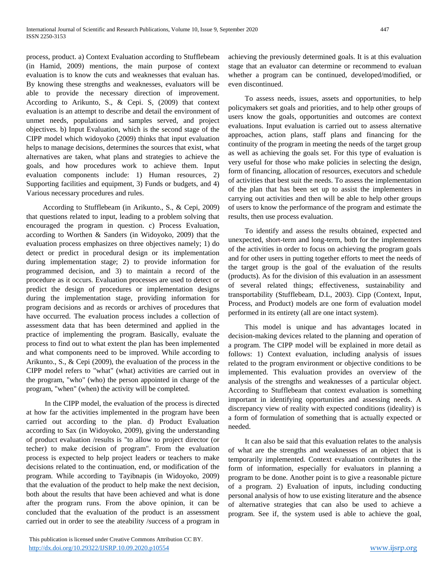process, product. a) Context Evaluation according to Stufflebeam (in Hamid, 2009) mentions, the main purpose of context evaluation is to know the cuts and weaknesses that evaluan has. By knowing these strengths and weaknesses, evaluators will be able to provide the necessary direction of improvement. According to Arikunto, S., & Cepi. S, (2009) that context evaluation is an attempt to describe and detail the environment of unmet needs, populations and samples served, and project objectives. b) Input Evaluation, which is the second stage of the CIPP model which widoyoko (2009) thinks that input evaluation helps to manage decisions, determines the sources that exist, what alternatives are taken, what plans and strategies to achieve the goals, and how procedures work to achieve them. Input evaluation components include: 1) Human resources, 2) Supporting facilities and equipment, 3) Funds or budgets, and 4) Various necessary procedures and rules.

According to Stufflebeam (in Arikunto., S., & Cepi, 2009) that questions related to input, leading to a problem solving that encouraged the program in question. c) Process Evaluation, according to Worthen & Sanders (in Widoyoko, 2009) that the evaluation process emphasizes on three objectives namely; 1) do detect or predict in procedural design or its implementation during implementation stage; 2) to provide information for programmed decision, and 3) to maintain a record of the procedure as it occurs. Evaluation processes are used to detect or predict the design of procedures or implementation designs during the implementation stage, providing information for program decisions and as records or archives of procedures that have occurred. The evaluation process includes a collection of assessment data that has been determined and applied in the practice of implementing the program. Basically, evaluate the process to find out to what extent the plan has been implemented and what components need to be improved. While according to Arikunto., S., & Cepi (2009), the evaluation of the process in the CIPP model refers to "what" (what) activities are carried out in the program, "who" (who) the person appointed in charge of the program, "when" (when) the activity will be completed.

In the CIPP model, the evaluation of the process is directed at how far the activities implemented in the program have been carried out according to the plan. d) Product Evaluation according to Sax (in Widoyoko, 2009), giving the understanding of product evaluation /results is "to allow to project director (or techer) to make decision of program". From the evaluation process is expected to help project leaders or teachers to make decisions related to the continuation, end, or modification of the program. While according to Tayibnapis (in Widoyoko, 2009) that the evaluation of the product to help make the next decision, both about the results that have been achieved and what is done after the program runs. From the above opinion, it can be concluded that the evaluation of the product is an assessment carried out in order to see the ateability /success of a program in

achieving the previously determined goals. It is at this evaluation stage that an evaluator can determine or recommend to evaluan whether a program can be continued, developed/modified, or even discontinued.

To assess needs, issues, assets and opportunities, to help policymakers set goals and priorities, and to help other groups of users know the goals, opportunities and outcomes are context evaluations. Input evaluation is carried out to assess alternative approaches, action plans, staff plans and financing for the continuity of the program in meeting the needs of the target group as well as achieving the goals set. For this type of evaluation is very useful for those who make policies in selecting the design, form of financing, allocation of resources, executors and schedule of activities that best suit the needs. To assess the implementation of the plan that has been set up to assist the implementers in carrying out activities and then will be able to help other groups of users to know the performance of the program and estimate the results, then use process evaluation.

To identify and assess the results obtained, expected and unexpected, short-term and long-term, both for the implementers of the activities in order to focus on achieving the program goals and for other users in putting together efforts to meet the needs of the target group is the goal of the evaluation of the results (products). As for the division of this evaluation in an assessment of several related things; effectiveness, sustainability and transportability (Stufflebeam, D.L, 2003). Cipp (Context, Input, Process, and Product) models are one form of evaluation model performed in its entirety (all are one intact system).

This model is unique and has advantages located in decision-making devices related to the planning and operation of a program. The CIPP model will be explained in more detail as follows: 1) Context evaluation, including analysis of issues related to the program environment or objective conditions to be implemented. This evaluation provides an overview of the analysis of the strengths and weaknesses of a particular object. According to Stufflebeam that context evaluation is something important in identifying opportunities and assessing needs. A discrepancy view of reality with expected conditions (ideality) is a form of formulation of something that is actually expected or needed.

It can also be said that this evaluation relates to the analysis of what are the strengths and weaknesses of an object that is temporarily implemented. Context evaluation contributes in the form of information, especially for evaluators in planning a program to be done. Another point is to give a reasonable picture of a program. 2) Evaluation of inputs, including conducting personal analysis of how to use existing literature and the absence of alternative strategies that can also be used to achieve a program. See if, the system used is able to achieve the goal,

This publication is licensed under Creative Commons Attribution CC BY. <http://dx.doi.org/10.29322/IJSRP.10.09.2020.p10554> [www.ijsrp.org](http://ijsrp.org/)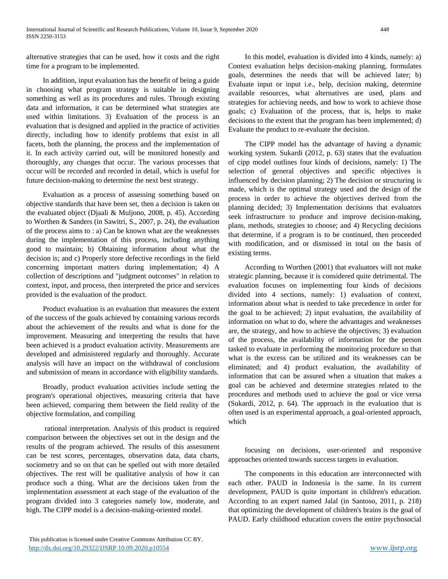alternative strategies that can be used, how it costs and the right time for a program to be implemented.

In addition, input evaluation has the benefit of being a guide in choosing what program strategy is suitable in designing something as well as its procedures and rules. Through existing data and information, it can be determined what strategies are used within limitations. 3) Evaluation of the process is an evaluation that is designed and applied in the practice of activities directly, including how to identify problems that exist in all facets, both the planning, the process and the implementation of it. In each activity carried out, will be monitored honestly and thoroughly, any changes that occur. The various processes that occur will be recorded and recorded in detail, which is useful for future decision-making to determine the next best strategy.

Evaluation as a process of assessing something based on objective standards that have been set, then a decision is taken on the evaluated object (Djaali & Muljono, 2008, p. 45). According to Worthen & Sanders (in Sawitri, S., 2007, p. 24), the evaluation of the process aims to : a) Can be known what are the weaknesses during the implementation of this process, including anything good to maintain; b) Obtaining information about what the decision is; and c) Properly store defective recordings in the field concerning important matters during implementation; 4) A collection of descriptions and "judgment outcomes" in relation to context, input, and process, then interpreted the price and services provided is the evaluation of the product.

Product evaluation is an evaluation that measures the extent of the success of the goals achieved by containing various records about the achievement of the results and what is done for the improvement. Measuring and interpreting the results that have been achieved is a product evaluation activity. Measurements are developed and administered regularly and thoroughly. Accurate analysis will have an impact on the withdrawal of conclusions and submission of means in accordance with eligibility standards.

Broadly, product evaluation activities include setting the program's operational objectives, measuring criteria that have been achieved, comparing them between the field reality of the objective formulation, and compiling

rational interpretation. Analysis of this product is required comparison between the objectives set out in the design and the results of the program achieved. The results of this assessment can be test scores, percentages, observation data, data charts, sociometry and so on that can be spelled out with more detailed objectives. The rest will be qualitative analysis of how it can produce such a thing. What are the decisions taken from the implementation assessment at each stage of the evaluation of the program divided into 3 categories namely low, moderate, and high. The CIPP model is a decision-making-oriented model.

In this model, evaluation is divided into 4 kinds, namely: a) Context evaluation helps decision-making planning, formulates goals, determines the needs that will be achieved later; b) Evaluate input or input i.e., help, decision making, determine available resources, what alternatives are used, plans and strategies for achieving needs, and how to work to achieve those goals; c) Evaluation of the process, that is, helps to make decisions to the extent that the program has been implemented; d) Evaluate the product to re-evaluate the decision.

The CIPP model has the advantage of having a dynamic working system. Sukardi (2012, p. 63) states that the evaluation of cipp model outlines four kinds of decisions, namely: 1) The selection of general objectives and specific objectives is influenced by decision planning; 2) The decision or structuring is made, which is the optimal strategy used and the design of the process in order to achieve the objectives derived from the planning decided; 3) Implementation decisions that evaluators seek infrastructure to produce and improve decision-making, plans, methods, strategies to choose; and 4) Recycling decisions that determine, if a program is to be continued, then proceeded with modification, and or dismissed in total on the basis of existing terms.

According to Worthen (2001) that evaluators will not make strategic planning, because it is considered quite detrimental. The evaluation focuses on implementing four kinds of decisions divided into 4 sections, namely: 1) evaluation of context, information about what is needed to take precedence in order for the goal to be achieved; 2) input evaluation, the availability of information on what to do, where the advantages and weaknesses are, the strategy, and how to achieve the objectives; 3) evaluation of the process, the availability of information for the person tasked to evaluate in performing the monitoring procedure so that what is the excess can be utilized and its weaknesses can be eliminated; and 4) product evaluation, the availability of information that can be assured when a situation that makes a goal can be achieved and determine strategies related to the procedures and methods used to achieve the goal or vice versa (Sukardi, 2012, p. 64). The approach in the evaluation that is often used is an experimental approach, a goal-oriented approach, which

focusing on decisions, user-oriented and responsive approaches oriented towards success targets in evaluation.

The components in this education are interconnected with each other. PAUD in Indonesia is the same. In its current development, PAUD is quite important in children's education. According to an expert named Jalal (in Santoso, 2011, p. 218) that optimizing the development of children's brains is the goal of PAUD. Early childhood education covers the entire psychosocial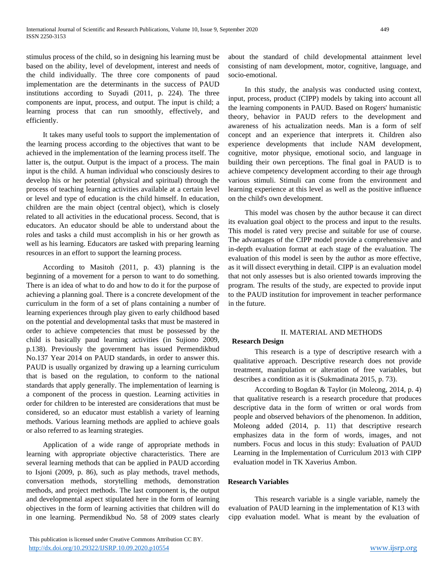stimulus process of the child, so in designing his learning must be based on the ability, level of development, interest and needs of the child individually. The three core components of paud implementation are the determinants in the success of PAUD institutions according to Suyadi (2011, p. 224). The three components are input, process, and output. The input is child; a learning process that can run smoothly, effectively, and efficiently.

It takes many useful tools to support the implementation of the learning process according to the objectives that want to be achieved in the implementation of the learning process itself. The latter is, the output. Output is the impact of a process. The main input is the child. A human individual who consciously desires to develop his or her potential (physical and spiritual) through the process of teaching learning activities available at a certain level or level and type of education is the child himself. In education, children are the main object (central object), which is closely related to all activities in the educational process. Second, that is educators. An educator should be able to understand about the roles and tasks a child must accomplish in his or her growth as well as his learning. Educators are tasked with preparing learning resources in an effort to support the learning process.

According to Masitoh (2011, p. 43) planning is the beginning of a movement for a person to want to do something. There is an idea of what to do and how to do it for the purpose of achieving a planning goal. There is a concrete development of the curriculum in the form of a set of plans containing a number of learning experiences through play given to early childhood based on the potential and developmental tasks that must be mastered in order to achieve competencies that must be possessed by the child is basically paud learning activities (in Sujiono 2009, p.138). Previously the government has issued Permendikbud No.137 Year 2014 on PAUD standards, in order to answer this. PAUD is usually organized by drawing up a learning curriculum that is based on the regulation, to conform to the national standards that apply generally. The implementation of learning is a component of the process in question. Learning activities in order for children to be interested are considerations that must be considered, so an educator must establish a variety of learning methods. Various learning methods are applied to achieve goals or also referred to as learning strategies.

Application of a wide range of appropriate methods in learning with appropriate objective characteristics. There are several learning methods that can be applied in PAUD according to Isjoni (2009, p. 86), such as play methods, travel methods, conversation methods, storytelling methods, demonstration methods, and project methods. The last component is, the output and developmental aspect stipulated here in the form of learning objectives in the form of learning activities that children will do in one learning. Permendikbud No. 58 of 2009 states clearly

 This publication is licensed under Creative Commons Attribution CC BY. <http://dx.doi.org/10.29322/IJSRP.10.09.2020.p10554> [www.ijsrp.org](http://ijsrp.org/)

about the standard of child developmental attainment level consisting of nam development, motor, cognitive, language, and socio-emotional.

In this study, the analysis was conducted using context, input, process, product (CIPP) models by taking into account all the learning components in PAUD. Based on Rogers' humanistic theory, behavior in PAUD refers to the development and awareness of his actualization needs. Man is a form of self concept and an experience that interprets it. Children also experience developments that include NAM development, cognitive, motor physique, emotional socio, and language in building their own perceptions. The final goal in PAUD is to achieve competency development according to their age through various stimuli. Stimuli can come from the environment and learning experience at this level as well as the positive influence on the child's own development.

This model was chosen by the author because it can direct its evaluation goal object to the process and input to the results. This model is rated very precise and suitable for use of course. The advantages of the CIPP model provide a comprehensive and in-depth evaluation format at each stage of the evaluation. The evaluation of this model is seen by the author as more effective, as it will dissect everything in detail. CIPP is an evaluation model that not only assesses but is also oriented towards improving the program. The results of the study, are expected to provide input to the PAUD institution for improvement in teacher performance in the future.

## II. MATERIAL AND METHODS

# **Research Design**

This research is a type of descriptive research with a qualitative approach. Descriptive research does not provide treatment, manipulation or alteration of free variables, but describes a condition as it is (Sukmadinata 2015, p. 73).

According to Bogdan & Taylor (in Moleong, 2014, p. 4) that qualitative research is a research procedure that produces descriptive data in the form of written or oral words from people and observed behaviors of the phenomenon. In addition, Moleong added (2014, p. 11) that descriptive research emphasizes data in the form of words, images, and not numbers. Focus and locus in this study: Evaluation of PAUD Learning in the Implementation of Curriculum 2013 with CIPP evaluation model in TK Xaverius Ambon.

## **Research Variables**

This research variable is a single variable, namely the evaluation of PAUD learning in the implementation of K13 with cipp evaluation model. What is meant by the evaluation of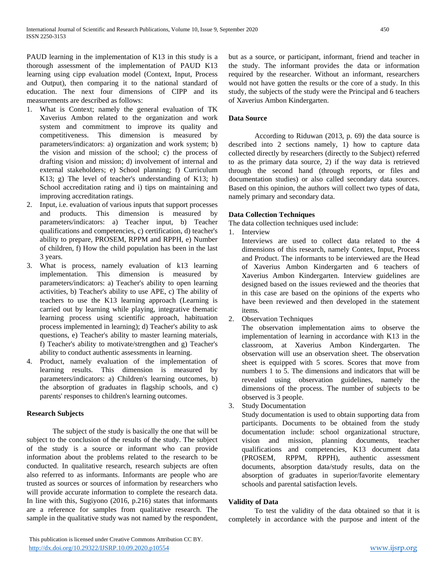PAUD learning in the implementation of K13 in this study is a thorough assessment of the implementation of PAUD K13 learning using cipp evaluation model (Context, Input, Process and Output), then comparing it to the national standard of education. The next four dimensions of CIPP and its measurements are described as follows:

- 1. What is Context; namely the general evaluation of TK Xaverius Ambon related to the organization and work system and commitment to improve its quality and competitiveness. This dimension is measured by parameters/indicators: a) organization and work system; b) the vision and mission of the school; c) the process of drafting vision and mission; d) involvement of internal and external stakeholders; e) School planning; f) Curriculum K13; g) The level of teacher's understanding of K13; h) School accreditation rating and i) tips on maintaining and improving accreditation ratings.
- 2. Input, i.e. evaluation of various inputs that support processes and products. This dimension is measured by parameters/indicators: a) Teacher input, b) Teacher qualifications and competencies, c) certification, d) teacher's ability to prepare, PROSEM, RPPM and RPPH, e) Number of children, f) How the child population has been in the last 3 years.
- 3. What is process, namely evaluation of k13 learning implementation. This dimension is measured by parameters/indicators: a) Teacher's ability to open learning activities, b) Teacher's ability to use APE, c) The ability of teachers to use the K13 learning approach (Learning is carried out by learning while playing, integrative thematic learning process using scientific approach, habituation process implemented in learning); d) Teacher's ability to ask questions, e) Teacher's ability to master learning materials, f) Teacher's ability to motivate/strengthen and g) Teacher's ability to conduct authentic assessments in learning.
- 4. Product, namely evaluation of the implementation of learning results. This dimension is measured by parameters/indicators: a) Children's learning outcomes, b) the absorption of graduates in flagship schools, and c) parents' responses to children's learning outcomes.

# **Research Subjects**

The subject of the study is basically the one that will be subject to the conclusion of the results of the study. The subject of the study is a source or informant who can provide information about the problems related to the research to be conducted. In qualitative research, research subjects are often also referred to as informants. Informants are people who are trusted as sources or sources of information by researchers who will provide accurate information to complete the research data. In line with this, Sugiyono (2016, p.216) states that informants are a reference for samples from qualitative research. The sample in the qualitative study was not named by the respondent,

but as a source, or participant, informant, friend and teacher in the study. The informant provides the data or information required by the researcher. Without an informant, researchers would not have gotten the results or the core of a study. In this study, the subjects of the study were the Principal and 6 teachers of Xaverius Ambon Kindergarten.

# **Data Source**

According to Riduwan (2013, p. 69) the data source is described into 2 sections namely, 1) how to capture data collected directly by researchers (directly to the Subject) referred to as the primary data source, 2) if the way data is retrieved through the second hand (through reports, or files and documentation studies) or also called secondary data sources. Based on this opinion, the authors will collect two types of data, namely primary and secondary data.

# **Data Collection Techniques**

The data collection techniques used include:

1. Interview

Interviews are used to collect data related to the 4 dimensions of this research, namely Contex, Input, Process and Product. The informants to be interviewed are the Head of Xaverius Ambon Kindergarten and 6 teachers of Xaverius Ambon Kindergarten. Interview guidelines are designed based on the issues reviewed and the theories that in this case are based on the opinions of the experts who have been reviewed and then developed in the statement items.

2. Observation Techniques

The observation implementation aims to observe the implementation of learning in accordance with K13 in the classroom, at Xaverius Ambon Kindergarten. The observation will use an observation sheet. The observation sheet is equipped with 5 scores. Scores that move from numbers 1 to 5. The dimensions and indicators that will be revealed using observation guidelines, namely the dimensions of the process. The number of subjects to be observed is 3 people.

3. Study Documentation

Study documentation is used to obtain supporting data from participants. Documents to be obtained from the study documentation include: school organizational structure, vision and mission, planning documents, teacher qualifications and competencies, K13 document data (PROSEM, RPPM, RPPH), authentic assessment documents, absorption data/study results, data on the absorption of graduates in superior/favorite elementary schools and parental satisfaction levels.

## **Validity of Data**

To test the validity of the data obtained so that it is completely in accordance with the purpose and intent of the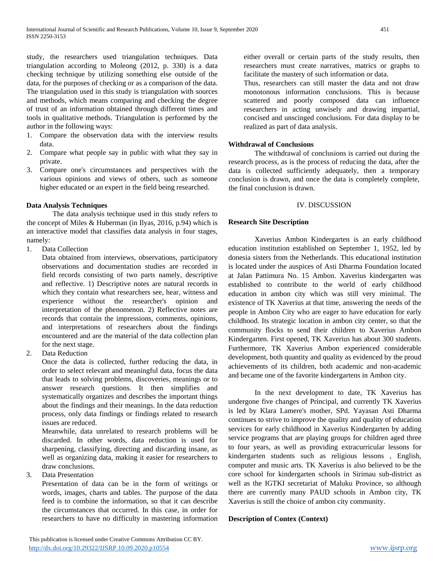study, the researchers used triangulation techniques. Data triangulation according to Moleong (2012, p. 330) is a data checking technique by utilizing something else outside of the data, for the purposes of checking or as a comparison of the data. The triangulation used in this study is triangulation with sources and methods, which means comparing and checking the degree of trust of an information obtained through different times and tools in qualitative methods. Triangulation is performed by the author in the following ways:

- 1. Compare the observation data with the interview results data.
- 2. Compare what people say in public with what they say in private.
- 3. Compare one's circumstances and perspectives with the various opinions and views of others, such as someone higher educated or an expert in the field being researched.

#### **Data Analysis Techniques**

The data analysis technique used in this study refers to the concept of Miles & Huberman (in Ilyas, 2016, p.94) which is an interactive model that classifies data analysis in four stages, namely:

1. Data Collection

Data obtained from interviews, observations, participatory observations and documentation studies are recorded in field records consisting of two parts namely, descriptive and reflective. 1) Descriptive notes are natural records in which they contain what researchers see, hear, witness and experience without the researcher's opinion and interpretation of the phenomenon. 2) Reflective notes are records that contain the impressions, comments, opinions, and interpretations of researchers about the findings encountered and are the material of the data collection plan for the next stage.

2. Data Reduction

Once the data is collected, further reducing the data, in order to select relevant and meaningful data, focus the data that leads to solving problems, discoveries, meanings or to answer research questions. It then simplifies and systematically organizes and describes the important things about the findings and their meanings. In the data reduction process, only data findings or findings related to research issues are reduced.

Meanwhile, data unrelated to research problems will be discarded. In other words, data reduction is used for sharpening, classifying, directing and discarding insane, as well as organizing data, making it easier for researchers to draw conclusions.

3. Data Presentation

Presentation of data can be in the form of writings or words, images, charts and tables. The purpose of the data feed is to combine the information, so that it can describe the circumstances that occurred. In this case, in order for researchers to have no difficulty in mastering information

either overall or certain parts of the study results, then researchers must create narratives, matrics or graphs to facilitate the mastery of such information or data.

Thus, researchers can still master the data and not draw monotonous information conclusions. This is because scattered and poorly composed data can influence researchers in acting unwisely and drawing impartial, concised and unscinged conclusions. For data display to be realized as part of data analysis.

#### **Withdrawal of Conclusions**

The withdrawal of conclusions is carried out during the research process, as is the process of reducing the data, after the data is collected sufficiently adequately, then a temporary conclusion is drawn, and once the data is completely complete, the final conclusion is drawn.

#### IV. DISCUSSION

#### **Research Site Description**

Xaverius Ambon Kindergarten is an early childhood education institution established on September 1, 1952, led by donesia sisters from the Netherlands. This educational institution is located under the auspices of Asti Dharma Foundation located at Jalan Pattimura No. 15 Ambon. Xaverius kindergarten was established to contribute to the world of early childhood education in ambon city which was still very minimal. The existence of TK Xaverius at that time, answering the needs of the people in Ambon City who are eager to have education for early childhood. Its strategic location in ambon city center, so that the community flocks to send their children to Xaverius Ambon Kindergarten. First opened, TK Xaverius has about 300 students. Furthermore, TK Xaverius Ambon experienced considerable development, both quantity and quality as evidenced by the proud achievements of its children, both academic and non-academic and became one of the favorite kindergartens in Ambon city.

In the next development to date, TK Xaverius has undergone five changes of Principal, and currently TK Xaverius is led by Klara Lamere's mother, SPd. Yayasan Asti Dharma continues to strive to improve the quality and quality of education services for early childhood in Xaverius Kindergarten by adding service programs that are playing groups for children aged three to four years, as well as providing extracurricular lessons for kindergarten students such as religious lessons , English, computer and music arts. TK Xaverius is also believed to be the core school for kindergarten schools in Sirimau sub-district as well as the IGTKI secretariat of Maluku Province, so although there are currently many PAUD schools in Ambon city, TK Xaverius is still the choice of ambon city community.

## **Description of Contex (Context)**

This publication is licensed under Creative Commons Attribution CC BY. <http://dx.doi.org/10.29322/IJSRP.10.09.2020.p10554> [www.ijsrp.org](http://ijsrp.org/)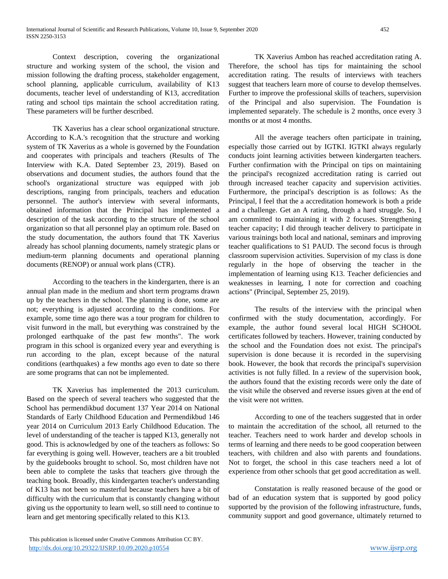Context description, covering the organizational structure and working system of the school, the vision and mission following the drafting process, stakeholder engagement, school planning, applicable curriculum, availability of K13 documents, teacher level of understanding of K13, accreditation rating and school tips maintain the school accreditation rating. These parameters will be further described.

TK Xaverius has a clear school organizational structure. According to K.A.'s recognition that the structure and working system of TK Xaverius as a whole is governed by the Foundation and cooperates with principals and teachers (Results of The Interview with K.A. Dated September 23, 2019). Based on observations and document studies, the authors found that the school's organizational structure was equipped with job descriptions, ranging from principals, teachers and education personnel. The author's interview with several informants, obtained information that the Principal has implemented a description of the task according to the structure of the school organization so that all personnel play an optimum role. Based on the study documentation, the authors found that TK Xaverius already has school planning documents, namely strategic plans or medium-term planning documents and operational planning documents (RENOP) or annual work plans (CTR).

According to the teachers in the kindergarten, there is an annual plan made in the medium and short term programs drawn up by the teachers in the school. The planning is done, some are not; everything is adjusted according to the conditions. For example, some time ago there was a tour program for children to visit funword in the mall, but everything was constrained by the prolonged earthquake of the past few months". The work program in this school is organized every year and everything is run according to the plan, except because of the natural conditions (earthquakes) a few months ago even to date so there are some programs that can not be implemented.

TK Xaverius has implemented the 2013 curriculum. Based on the speech of several teachers who suggested that the School has permendikbud document 137 Year 2014 on National Standards of Early Childhood Education and Permendikbud 146 year 2014 on Curriculum 2013 Early Childhood Education. The level of understanding of the teacher is tapped K13, generally not good. This is acknowledged by one of the teachers as follows: So far everything is going well. However, teachers are a bit troubled by the guidebooks brought to school. So, most children have not been able to complete the tasks that teachers give through the teaching book. Broadly, this kindergarten teacher's understanding of K13 has not been so masterful because teachers have a bit of difficulty with the curriculum that is constantly changing without giving us the opportunity to learn well, so still need to continue to learn and get mentoring specifically related to this K13.

TK Xaverius Ambon has reached accreditation rating A. Therefore, the school has tips for maintaining the school accreditation rating. The results of interviews with teachers suggest that teachers learn more of course to develop themselves. Further to improve the professional skills of teachers, supervision of the Principal and also supervision. The Foundation is implemented separately. The schedule is 2 months, once every 3 months or at most 4 months.

All the average teachers often participate in training, especially those carried out by IGTKI. IGTKI always regularly conducts joint learning activities between kindergarten teachers. Further confirmation with the Principal on tips on maintaining the principal's recognized accreditation rating is carried out through increased teacher capacity and supervision activities. Furthermore, the principal's description is as follows: As the Principal, I feel that the a accreditation homework is both a pride and a challenge. Get an A rating, through a hard struggle. So, I am committed to maintaining it with 2 focuses. Strengthening teacher capacity; I did through teacher delivery to participate in various trainings both local and national, seminars and improving teacher qualifications to S1 PAUD. The second focus is through classroom supervision activities. Supervision of my class is done regularly in the hope of observing the teacher in the implementation of learning using K13. Teacher deficiencies and weaknesses in learning, I note for correction and coaching actions" (Principal, September 25, 2019).

The results of the interview with the principal when confirmed with the study documentation, accordingly. For example, the author found several local HIGH SCHOOL certificates followed by teachers. However, training conducted by the school and the Foundation does not exist. The principal's supervision is done because it is recorded in the supervising book. However, the book that records the principal's supervision activities is not fully filled. In a review of the supervision book, the authors found that the existing records were only the date of the visit while the observed and reverse issues given at the end of the visit were not written.

According to one of the teachers suggested that in order to maintain the accreditation of the school, all returned to the teacher. Teachers need to work harder and develop schools in terms of learning and there needs to be good cooperation between teachers, with children and also with parents and foundations. Not to forget, the school in this case teachers need a lot of experience from other schools that get good accreditation as well.

Constatation is really reasoned because of the good or bad of an education system that is supported by good policy supported by the provision of the following infrastructure, funds, community support and good governance, ultimately returned to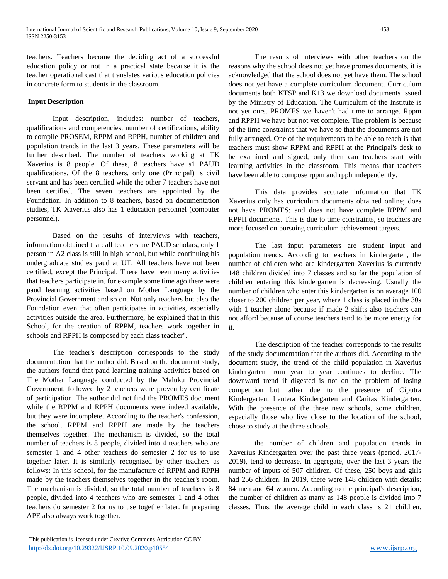teachers. Teachers become the deciding act of a successful education policy or not in a practical state because it is the teacher operational cast that translates various education policies in concrete form to students in the classroom.

#### **Input Description**

Input description, includes: number of teachers, qualifications and competencies, number of certifications, ability to compile PROSEM, RPPM and RPPH, number of children and population trends in the last 3 years. These parameters will be further described. The number of teachers working at TK Xaverius is 8 people. Of these, 8 teachers have s1 PAUD qualifications. Of the 8 teachers, only one (Principal) is civil servant and has been certified while the other 7 teachers have not been certified. The seven teachers are appointed by the Foundation. In addition to 8 teachers, based on documentation studies, TK Xaverius also has 1 education personnel (computer personnel).

Based on the results of interviews with teachers, information obtained that: all teachers are PAUD scholars, only 1 person in A2 class is still in high school, but while continuing his undergraduate studies paud at UT. All teachers have not been certified, except the Principal. There have been many activities that teachers participate in, for example some time ago there were paud learning activities based on Mother Language by the Provincial Government and so on. Not only teachers but also the Foundation even that often participates in activities, especially activities outside the area. Furthermore, he explained that in this School, for the creation of RPPM, teachers work together in schools and RPPH is composed by each class teacher".

The teacher's description corresponds to the study documentation that the author did. Based on the document study, the authors found that paud learning training activities based on The Mother Language conducted by the Maluku Provincial Government, followed by 2 teachers were proven by certificate of participation. The author did not find the PROMES document while the RPPM and RPPH documents were indeed available, but they were incomplete. According to the teacher's confession, the school, RPPM and RPPH are made by the teachers themselves together. The mechanism is divided, so the total number of teachers is 8 people, divided into 4 teachers who are semester 1 and 4 other teachers do semester 2 for us to use together later. It is similarly recognized by other teachers as follows: In this school, for the manufacture of RPPM and RPPH made by the teachers themselves together in the teacher's room. The mechanism is divided, so the total number of teachers is 8 people, divided into 4 teachers who are semester 1 and 4 other teachers do semester 2 for us to use together later. In preparing APE also always work together.

The results of interviews with other teachers on the reasons why the school does not yet have promes documents, it is acknowledged that the school does not yet have them. The school does not yet have a complete curriculum document. Curriculum documents both KTSP and K13 we download documents issued by the Ministry of Education. The Curriculum of the Institute is not yet ours. PROMES we haven't had time to arrange. Rppm and RPPH we have but not yet complete. The problem is because of the time constraints that we have so that the documents are not fully arranged. One of the requirements to be able to teach is that teachers must show RPPM and RPPH at the Principal's desk to be examined and signed, only then can teachers start with learning activities in the classroom. This means that teachers have been able to compose rppm and rpph independently.

This data provides accurate information that TK Xaverius only has curriculum documents obtained online; does not have PROMES; and does not have complete RPPM and RPPH documents. This is due to time constraints, so teachers are more focused on pursuing curriculum achievement targets.

The last input parameters are student input and population trends. According to teachers in kindergarten, the number of children who are kindergarten Xaverius is currently 148 children divided into 7 classes and so far the population of children entering this kindergarten is decreasing. Usually the number of children who enter this kindergarten is on average 100 closer to 200 children per year, where 1 class is placed in the 30s with 1 teacher alone because if made 2 shifts also teachers can not afford because of course teachers tend to be more energy for it.

The description of the teacher corresponds to the results of the study documentation that the authors did. According to the document study, the trend of the child population in Xaverius kindergarten from year to year continues to decline. The downward trend if digested is not on the problem of losing competition but rather due to the presence of Ciputra Kindergarten, Lentera Kindergarten and Caritas Kindergarten. With the presence of the three new schools, some children, especially those who live close to the location of the school, chose to study at the three schools.

the number of children and population trends in Xaverius Kindergarten over the past three years (period, 2017- 2019), tend to decrease. In aggregate, over the last 3 years the number of inputs of 507 children. Of these, 250 boys and girls had 256 children. In 2019, there were 148 children with details: 84 men and 64 women. According to the principal's description, the number of children as many as 148 people is divided into 7 classes. Thus, the average child in each class is 21 children.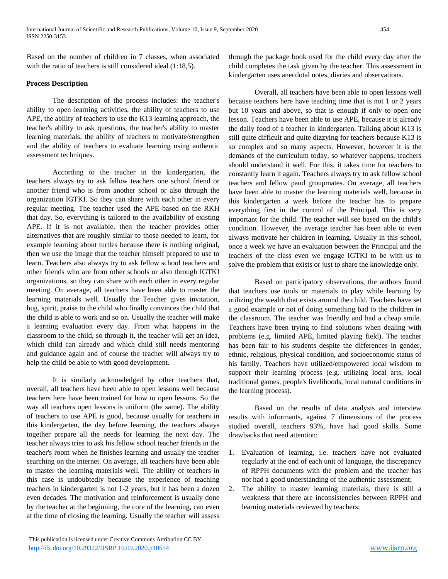Based on the number of children in 7 classes, when associated with the ratio of teachers is still considered ideal  $(1:18.5)$ .

#### **Process Description**

The description of the process includes: the teacher's ability to open learning activities, the ability of teachers to use APE, the ability of teachers to use the K13 learning approach, the teacher's ability to ask questions, the teacher's ability to master learning materials, the ability of teachers to motivate/strengthen and the ability of teachers to evaluate learning using authentic assessment techniques.

According to the teacher in the kindergarten, the teachers always try to ask fellow teachers one school friend or another friend who is from another school or also through the organization IGTKI. So they can share with each other in every regular meeting. The teacher used the APE based on the RKH that day. So, everything is tailored to the availability of existing APE. If it is not available, then the teacher provides other alternatives that are roughly similar to those needed to learn, for example learning about turtles because there is nothing original, then we use the image that the teacher himself prepared to use to learn. Teachers also always try to ask fellow school teachers and other friends who are from other schools or also through IGTKI organizations, so they can share with each other in every regular meeting. On average, all teachers have been able to master the learning materials well. Usually the Teacher gives invitation, hug, spirit, praise to the child who finally convinces the child that the child is able to work and so on. Usually the teacher will make a learning evaluation every day. From what happens in the classroom to the child, so through it, the teacher will get an idea, which child can already and which child still needs mentoring and guidance again and of course the teacher will always try to help the child be able to with good development.

It is similarly acknowledged by other teachers that, overall, all teachers have been able to open lessons well because teachers here have been trained for how to open lessons. So the way all teachers open lessons is uniform (the same). The ability of teachers to use APE is good, because usually for teachers in this kindergarten, the day before learning, the teachers always together prepare all the needs for learning the next day. The teacher always tries to ask his fellow school teacher friends in the teacher's room when he finishes learning and usually the teacher searching on the internet. On average, all teachers have been able to master the learning materials well. The ability of teachers in this case is undoubtedly because the experience of teaching teachers in kindergarten is not 1-2 years, but it has been a dozen even decades. The motivation and reinforcement is usually done by the teacher at the beginning, the core of the learning, can even at the time of closing the learning. Usually the teacher will assess

through the package book used for the child every day after the child completes the task given by the teacher. This assessment in kindergarten uses anecdotal notes, diaries and observations.

Overall, all teachers have been able to open lessons well because teachers here have teaching time that is not 1 or 2 years but 10 years and above, so that is enough if only to open one lesson. Teachers have been able to use APE, because it is already the daily food of a teacher in kindergarten. Talking about K13 is still quite difficult and quite dizzying for teachers because K13 is so complex and so many aspects. However, however it is the demands of the curriculum today, so whatever happens, teachers should understand it well. For this, it takes time for teachers to constantly learn it again. Teachers always try to ask fellow school teachers and fellow paud groupmates. On average, all teachers have been able to master the learning materials well, because in this kindergarten a week before the teacher has to prepare everything first in the control of the Principal. This is very important for the child. The teacher will see based on the child's condition. However, the average teacher has been able to even always motivate her children in learning. Usually in this school, once a week we have an evaluation between the Principal and the teachers of the class even we engage IGTKI to be with us to solve the problem that exists or just to share the knowledge only.

Based on participatory observations, the authors found that teachers use tools or materials to play while learning by utilizing the wealth that exists around the child. Teachers have set a good example or not of doing something bad to the children in the classroom. The teacher was friendly and had a cheap smile. Teachers have been trying to find solutions when dealing with problems (e.g. limited APE, limited playing field). The teacher has been fair to his students despite the differences in gender, ethnic, religious, physical condition, and socioeconomic status of his family. Teachers have utilized/empowered local wisdom to support their learning process (e.g. utilizing local arts, local traditional games, people's livelihoods, local natural conditions in the learning process).

Based on the results of data analysis and interview results with informants, against 7 dimensions of the process studied overall, teachers 93%, have had good skills. Some drawbacks that need attention:

- 1. Evaluation of learning, i.e. teachers have not evaluated regularly at the end of each unit of language, the discrepancy of RPPH documents with the problem and the teacher has not had a good understanding of the authentic assessment;
- 2. The ability to master learning materials, there is still a weakness that there are inconsistencies between RPPH and learning materials reviewed by teachers;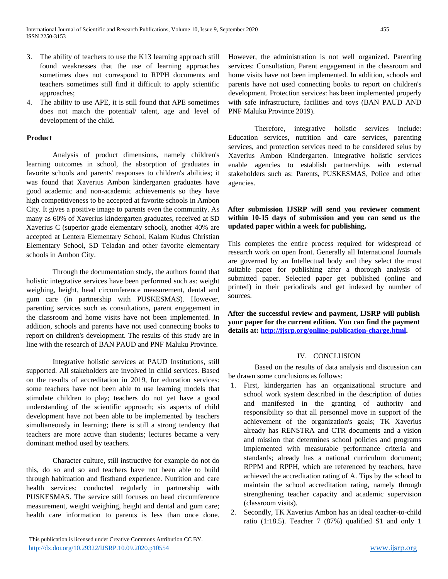- 3. The ability of teachers to use the K13 learning approach still found weaknesses that the use of learning approaches sometimes does not correspond to RPPH documents and teachers sometimes still find it difficult to apply scientific approaches;
- 4. The ability to use APE, it is still found that APE sometimes does not match the potential/ talent, age and level of development of the child.

#### **Product**

Analysis of product dimensions, namely children's learning outcomes in school, the absorption of graduates in favorite schools and parents' responses to children's abilities; it was found that Xaverius Ambon kindergarten graduates have good academic and non-academic achievements so they have high competitiveness to be accepted at favorite schools in Ambon City. It gives a positive image to parents even the community. As many as 60% of Xaverius kindergarten graduates, received at SD Xaverius C (superior grade elementary school), another 40% are accepted at Lentera Elementary School, Kalam Kudus Christian Elementary School, SD Teladan and other favorite elementary schools in Ambon City.

Through the documentation study, the authors found that holistic integrative services have been performed such as: weight weighing, height, head circumference measurement, dental and gum care (in partnership with PUSKESMAS). However, parenting services such as consultations, parent engagement in the classroom and home visits have not been implemented. In addition, schools and parents have not used connecting books to report on children's development. The results of this study are in line with the research of BAN PAUD and PNF Maluku Province.

Integrative holistic services at PAUD Institutions, still supported. All stakeholders are involved in child services. Based on the results of accreditation in 2019, for education services: some teachers have not been able to use learning models that stimulate children to play; teachers do not yet have a good understanding of the scientific approach; six aspects of child development have not been able to be implemented by teachers simultaneously in learning; there is still a strong tendency that teachers are more active than students; lectures became a very dominant method used by teachers.

Character culture, still instructive for example do not do this, do so and so and teachers have not been able to build through habituation and firsthand experience. Nutrition and care health services: conducted regularly in partnership with PUSKESMAS. The service still focuses on head circumference measurement, weight weighing, height and dental and gum care; health care information to parents is less than once done.

However, the administration is not well organized. Parenting services: Consultation, Parent engagement in the classroom and home visits have not been implemented. In addition, schools and parents have not used connecting books to report on children's development. Protection services: has been implemented properly with safe infrastructure, facilities and toys (BAN PAUD AND PNF Maluku Province 2019).

Therefore, integrative holistic services include: Education services, nutrition and care services, parenting services, and protection services need to be considered seius by Xaverius Ambon Kindergarten. Integrative holistic services enable agencies to establish partnerships with external stakeholders such as: Parents, PUSKESMAS, Police and other agencies.

## **After submission IJSRP will send you reviewer comment within 10-15 days of submission and you can send us the updated paper within a week for publishing.**

This completes the entire process required for widespread of research work on open front. Generally all International Journals are governed by an Intellectual body and they select the most suitable paper for publishing after a thorough analysis of submitted paper. Selected paper get published (online and printed) in their periodicals and get indexed by number of sources.

**After the successful review and payment, IJSRP will publish your paper for the current edition. You can find the payment details at: [http://ijsrp.org/online-publication-charge.html.](http://ijsrp.org/online-publication-charge.html)**

## IV. CONCLUSION

Based on the results of data analysis and discussion can be drawn some conclusions as follows:

- 1. First, kindergarten has an organizational structure and school work system described in the description of duties and manifested in the granting of authority and responsibility so that all personnel move in support of the achievement of the organization's goals; TK Xaverius already has RENSTRA and CTR documents and a vision and mission that determines school policies and programs implemented with measurable performance criteria and standards; already has a national curriculum document; RPPM and RPPH, which are referenced by teachers, have achieved the accreditation rating of A. Tips by the school to maintain the school accreditation rating, namely through strengthening teacher capacity and academic supervision (classroom visits).
- 2. Secondly, TK Xaverius Ambon has an ideal teacher-to-child ratio (1:18.5). Teacher 7 (87%) qualified S1 and only 1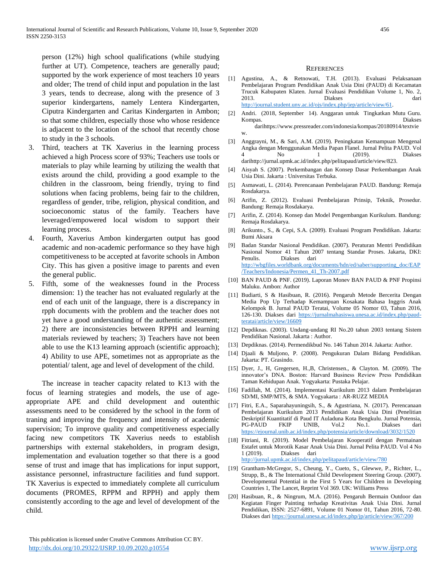person (12%) high school qualifications (while studying further at UT). Competence, teachers are generally paud; supported by the work experience of most teachers 10 years and older; The trend of child input and population in the last 3 years, tends to decrease, along with the presence of 3 superior kindergartens, namely Lentera Kindergarten, Ciputra Kindergarten and Caritas Kindergarten in Ambon; so that some children, especially those who whose residence is adjacent to the location of the school that recently chose to study in the 3 schools.

- 3. Third, teachers at TK Xaverius in the learning process achieved a high Process score of 93%; Teachers use tools or materials to play while learning by utilizing the wealth that exists around the child, providing a good example to the children in the classroom, being friendly, trying to find solutions when facing problems, being fair to the children, regardless of gender, tribe, religion, physical condition, and socioeconomic status of the family. Teachers have leveraged/empowered local wisdom to support their learning process.
- 4. Fourth, Xaverius Ambon kindergarten output has good academic and non-academic performance so they have high competitiveness to be accepted at favorite schools in Ambon City. This has given a positive image to parents and even the general public.
- 5. Fifth, some of the weaknesses found in the Process dimension: 1) the teacher has not evaluated regularly at the end of each unit of the language, there is a discrepancy in rpph documents with the problem and the teacher does not yet have a good understanding of the authentic assessment; 2) there are inconsistencies between RPPH and learning materials reviewed by teachers; 3) Teachers have not been able to use the K13 learning approach (scientific approach); 4) Ability to use APE, sometimes not as appropriate as the potential/ talent, age and level of development of the child.

The increase in teacher capacity related to K13 with the focus of learning strategies and models, the use of ageappropriate APE and child development and outenthic assessments need to be considered by the school in the form of traning and improving the frequency and intensity of academic supervision; To improve quality and competitiveness especially facing new competitors TK Xaverius needs to establish partnerships with external stakeholders, in program design, implementation and evaluation together so that there is a good sense of trust and image that has implications for input support, assistance personnel, infrastructure facilities and fund support. TK Xaverius is expected to immediately complete all curriculum documents (PROMES, RPPM and RPPH) and apply them consistently according to the age and level of development of the child.

#### **REFERENCES**

- [1] Agustina, A., & Retnowati, T.H. (2013). Evaluasi Pelaksanaan Pembelajaran Program Pendidikan Anak Usia Dini (PAUD) di Kecamatan Trucuk Kabupaten Klaten. Jurnal Evaluasi Pendidikan Volume 1, No. 2, 2013. Diakses dari [http://journal.student.uny.ac.id/ojs/index.php/jep/article/view/61.](http://journal.student.uny.ac.id/ojs/index.php/jep/article/view/61)
- [2] Andri. (2018, September 14). Anggaran untuk Tingkatkan Mutu Guru. Kompas. Diakses darihttps://www.pressreader.com/indonesia/kompas/20180914/textvie w.
- [3] Anggrayni, M., & Sari, A.M. (2019). Peningkatan Kemampuan Mengenal Angka dengan Menggunakan Media Papan Flanel. Jurnal Pelita PAUD. Vol 4 No 1 (2019). Diakses darihttp://jurnal.upmk.ac.id/index.php/pelitapaud/article/view/823.
- [4] Aisyah S. (2007). Perkembangan dan Konsep Dasar Perkembangan Anak Usia Dini. Jakarta : Universitas Terbuka.
- [5] Asmawati, L. (2014). Perencanaan Pembelajaran PAUD. Bandung: Remaja Rosdakarya.
- [6] Arifin, Z. (2012). Evaluasi Pembelajaran Prinsip, Teknik, Prosedur. Bandung: Remaja Rosdakarya.
- [7] Arifin, Z. (2014). Konsep dan Model Pengembangan Kurikulum. Bandung: Remaja Rosdakarya.
- [8] Arikunto., S., & Cepi, S.A. (2009). Evaluasi Program Pendidikan. Jakarta: Bumi Aksara
- [9] Badan Standar Nasional Pendidikan. (2007). Peraturan Mentri Pendidikan Nasional Nomor 41 Tahun 2007 tentang Standar Proses. Jakarta, DKI: Penulis. Diakses dari [http://wbgfiles.worldbank.org/documents/hdn/ed/saber/supporting\\_doc/EAP](http://wbgfiles.worldbank.org/documents/hdn/ed/saber/supporting_doc/EAP%20/Teachers/Indonesia/Permen_41_Th-2007.pdf)  [/Teachers/Indonesia/Permen\\_41\\_Th-2007.pdf](http://wbgfiles.worldbank.org/documents/hdn/ed/saber/supporting_doc/EAP%20/Teachers/Indonesia/Permen_41_Th-2007.pdf)
- [10] BAN PAUD & PNF. (2019). Laporan Monev BAN PAUD & PNF Propinsi Maluku. Ambon: Author
- [11] Budiarti, S & Hasibuan, R. (2016). Pengaruh Metode Bercerita Dengan Media Pop Up Terhadap Kemampuan Kosakata Bahasa Inggris Anak Kelompok B. Jurnal PAUD Teratai, Volume 05 Nomor 03, Tahun 2016, 126-130. Diakses dari [https://jurnalmahasiswa.unesa.ac.id/index.php/paud](https://jurnalmahasiswa.unesa.ac.id/index.php/paud-%20teratai/article/view/16609)[teratai/article/view/16609](https://jurnalmahasiswa.unesa.ac.id/index.php/paud-%20teratai/article/view/16609)
- [12] Depdiknas. (2003). Undang-undang RI No.20 tahun 2003 tentang Sistem Pendidikan Nasional. Jakarta : Author.
- [13] Depdiknas. (2014). Permendikbud No. 146 Tahun 2014. Jakarta: Author.
- [14] Djaali & Muljono, P. (2008). Pengukuran Dalam Bidang Pendidikan. Jakarta: PT. Grasindo.
- [15] Dyer, J., H, Gregersen, H.,B, Christensen., & Clayton. M. (2009). The innovator's DNA. Boston: Harvard Business Review Press Pendidikan Taman Kehidupan Anak. Yogyakarta: Pustaka Pelajar.
- [16] Fadillah, M. (2014). Implementasi Kurikulum 2013 dalam Pembelajaran SD/MI, SMP/MTS, & SMA. Yogyakarta : AR-RUZZ MEDIA
- [17] Fitri, E.A., Saparahayuningsih, S., & Agustriana, N. (2017). Perencanaan Pembelajaran Kurikulum 2013 Pendidikan Anak Usia Dini (Penelitian Deskriptif Kuantitatif di Paud IT Auladuna Kota Bengkulu. Jurnal Potensia, PG-PAUD FKIP UNIB, Vol.2 No.1. Diakses dari <https://ejournal.unib.ac.id/index.php/potensia/article/download/3032/1520>
- [18] Fitriani, R. (2019). Model Pembelajaran Kooperatif dengan Permainan Estafet untuk Morotik Kasar Anak Usia Dini. Jurnal Pelita PAUD. Vol 4 No 1 (2019). Diakses dari <http://jurnal.upmk.ac.id/index.php/pelitapaud/article/view/780>
- [19] Grantham-McGregor, S., Cheung, Y., Cueto, S., Glewwe, P., Richter, L., Strupp, B., & The International Child Development Steering Group. (2007). Developmental Potential in the First 5 Years for Children in Developing Countries 1, The Lancet, Reprint Vol 369. UK: Williams Press
- [20] Hasibuan, R., & Ningrum, M.A. (2016). Pengaruh Bermain Outdoor dan Kegiatan Finger Painting terhadap Kreativitas Anak Usia Dini. Jurnal Pendidikan, ISSN: 2527-6891, Volume 01 Nomor 01, Tahun 2016, 72-80. Diakses dari<https://journal.unesa.ac.id/index.php/jp/article/view/367/200>